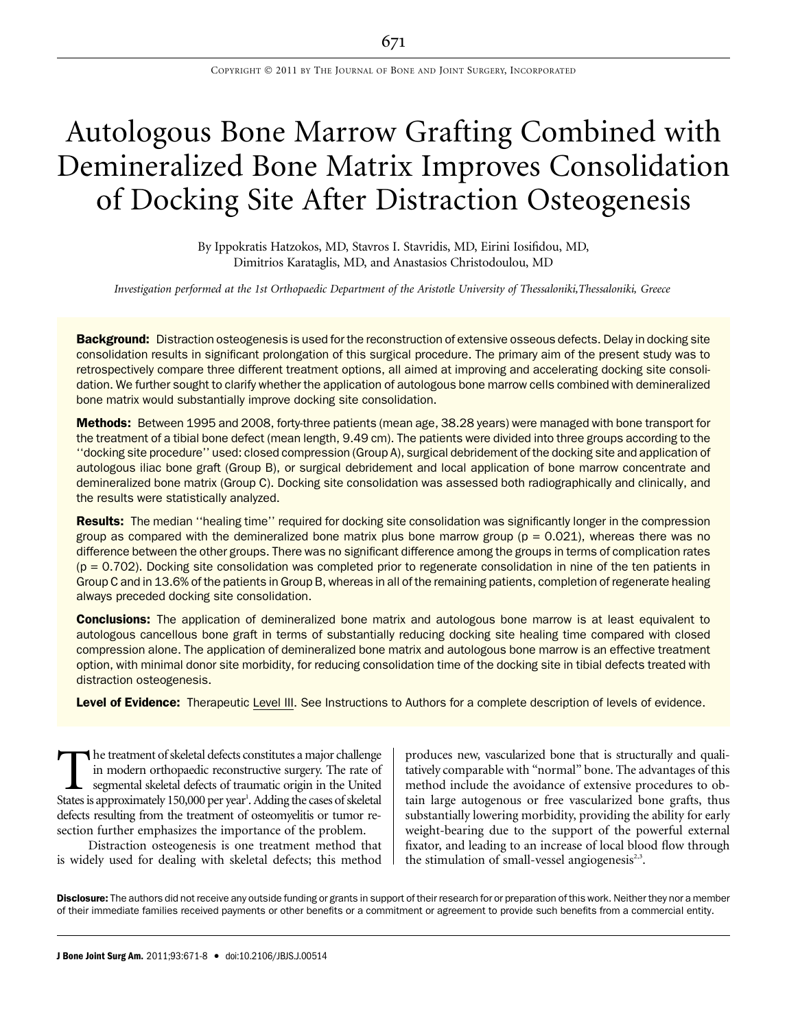# Autologous Bone Marrow Grafting Combined with Demineralized Bone Matrix Improves Consolidation of Docking Site After Distraction Osteogenesis

By Ippokratis Hatzokos, MD, Stavros I. Stavridis, MD, Eirini Iosifidou, MD, Dimitrios Karataglis, MD, and Anastasios Christodoulou, MD

Investigation performed at the 1st Orthopaedic Department of the Aristotle University of Thessaloniki, Thessaloniki, Greece

Background: Distraction osteogenesis is used for the reconstruction of extensive osseous defects. Delay in docking site consolidation results in significant prolongation of this surgical procedure. The primary aim of the present study was to retrospectively compare three different treatment options, all aimed at improving and accelerating docking site consolidation. We further sought to clarify whether the application of autologous bone marrow cells combined with demineralized bone matrix would substantially improve docking site consolidation.

Methods: Between 1995 and 2008, forty-three patients (mean age, 38.28 years) were managed with bone transport for the treatment of a tibial bone defect (mean length, 9.49 cm). The patients were divided into three groups according to the ''docking site procedure'' used: closed compression (Group A), surgical debridement of the docking site and application of autologous iliac bone graft (Group B), or surgical debridement and local application of bone marrow concentrate and demineralized bone matrix (Group C). Docking site consolidation was assessed both radiographically and clinically, and the results were statistically analyzed.

Results: The median "healing time" required for docking site consolidation was significantly longer in the compression group as compared with the demineralized bone matrix plus bone marrow group  $(p = 0.021)$ , whereas there was no difference between the other groups. There was no significant difference among the groups in terms of complication rates  $(p = 0.702)$ . Docking site consolidation was completed prior to regenerate consolidation in nine of the ten patients in Group C and in 13.6% of the patients in Group B, whereas in all of the remaining patients, completion of regenerate healing always preceded docking site consolidation.

**Conclusions:** The application of demineralized bone matrix and autologous bone marrow is at least equivalent to autologous cancellous bone graft in terms of substantially reducing docking site healing time compared with closed compression alone. The application of demineralized bone matrix and autologous bone marrow is an effective treatment option, with minimal donor site morbidity, for reducing consolidation time of the docking site in tibial defects treated with distraction osteogenesis.

Level of Evidence: Therapeutic Level III. See Instructions to Authors for a complete description of levels of evidence.

The treatment of skeletal defects constitutes a major challenge<br>in modern orthopaedic reconstructive surgery. The rate of<br>segmental skeletal defects of traumatic origin in the United<br>States is approximately 150.000 per yea in modern orthopaedic reconstructive surgery. The rate of segmental skeletal defects of traumatic origin in the United States is approximately 150,000 per year<sup>1</sup>. Adding the cases of skeletal defects resulting from the treatment of osteomyelitis or tumor resection further emphasizes the importance of the problem.

Distraction osteogenesis is one treatment method that is widely used for dealing with skeletal defects; this method produces new, vascularized bone that is structurally and qualitatively comparable with ''normal'' bone. The advantages of this method include the avoidance of extensive procedures to obtain large autogenous or free vascularized bone grafts, thus substantially lowering morbidity, providing the ability for early weight-bearing due to the support of the powerful external fixator, and leading to an increase of local blood flow through the stimulation of small-vessel angiogenesis $2,3$ .

Disclosure: The authors did not receive any outside funding or grants in support of their research for or preparation of this work. Neither they nor a member of their immediate families received payments or other benefits or a commitment or agreement to provide such benefits from a commercial entity.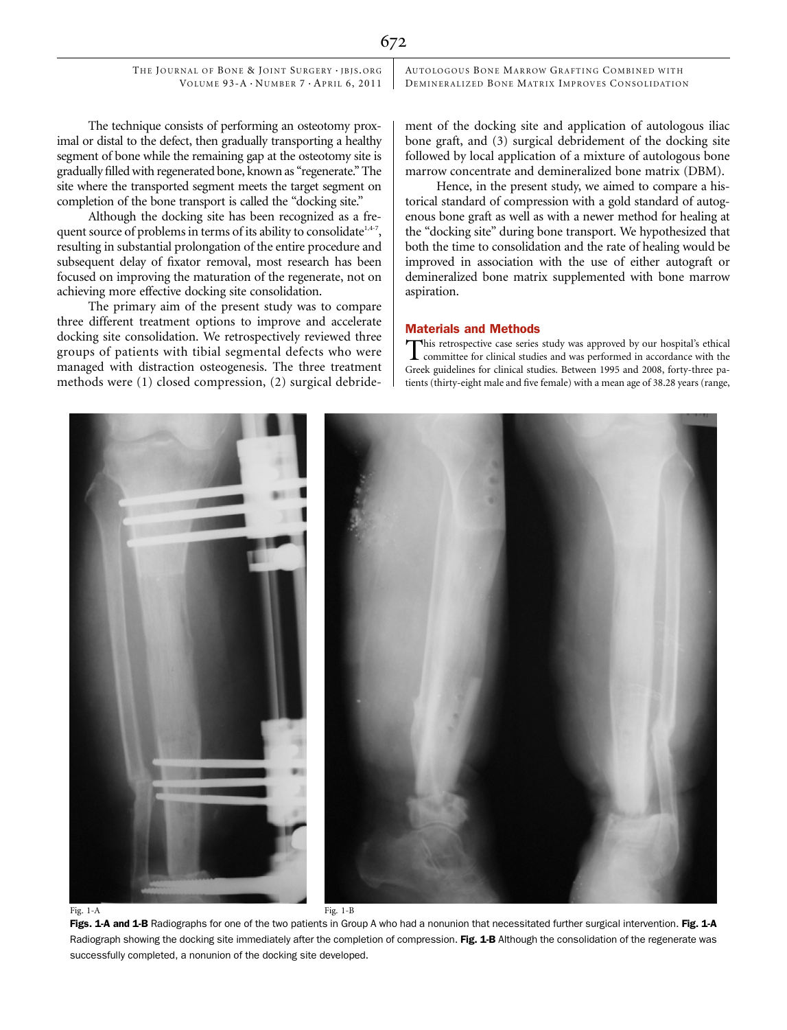AUTOLOGOUS BONE MARROW GRAFTING COMBINED WITH DEMINERALIZED BONE MATRIX IMPROVES CONSOLIDATION

The technique consists of performing an osteotomy proximal or distal to the defect, then gradually transporting a healthy segment of bone while the remaining gap at the osteotomy site is gradually filled with regenerated bone, known as ''regenerate.'' The site where the transported segment meets the target segment on completion of the bone transport is called the ''docking site.''

Although the docking site has been recognized as a frequent source of problems in terms of its ability to consolidate<sup>1,4-7</sup>, resulting in substantial prolongation of the entire procedure and subsequent delay of fixator removal, most research has been focused on improving the maturation of the regenerate, not on achieving more effective docking site consolidation.

The primary aim of the present study was to compare three different treatment options to improve and accelerate docking site consolidation. We retrospectively reviewed three groups of patients with tibial segmental defects who were managed with distraction osteogenesis. The three treatment methods were (1) closed compression, (2) surgical debridement of the docking site and application of autologous iliac bone graft, and (3) surgical debridement of the docking site followed by local application of a mixture of autologous bone marrow concentrate and demineralized bone matrix (DBM).

Hence, in the present study, we aimed to compare a historical standard of compression with a gold standard of autogenous bone graft as well as with a newer method for healing at the ''docking site'' during bone transport. We hypothesized that both the time to consolidation and the rate of healing would be improved in association with the use of either autograft or demineralized bone matrix supplemented with bone marrow aspiration.

## Materials and Methods

This retrospective case series study was approved by our hospital's ethical<br>committee for clinical studies and was performed in accordance with the Greek guidelines for clinical studies. Between 1995 and 2008, forty-three patients (thirty-eight male and five female) with a mean age of 38.28 years (range,



Radiograph showing the docking site immediately after the completion of compression. Fig. 1-B Although the consolidation of the regenerate was successfully completed, a nonunion of the docking site developed.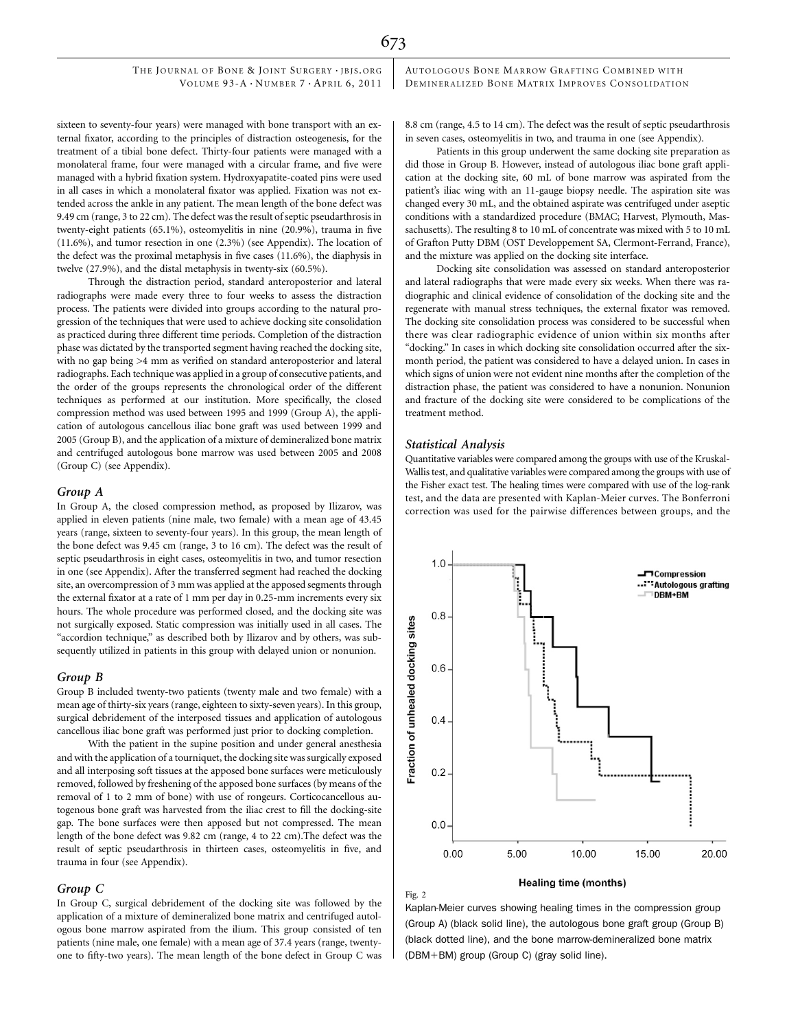sixteen to seventy-four years) were managed with bone transport with an external fixator, according to the principles of distraction osteogenesis, for the treatment of a tibial bone defect. Thirty-four patients were managed with a monolateral frame, four were managed with a circular frame, and five were managed with a hybrid fixation system. Hydroxyapatite-coated pins were used in all cases in which a monolateral fixator was applied. Fixation was not extended across the ankle in any patient. The mean length of the bone defect was 9.49 cm (range, 3 to 22 cm). The defect was the result of septic pseudarthrosis in twenty-eight patients (65.1%), osteomyelitis in nine (20.9%), trauma in five (11.6%), and tumor resection in one (2.3%) (see Appendix). The location of the defect was the proximal metaphysis in five cases (11.6%), the diaphysis in twelve (27.9%), and the distal metaphysis in twenty-six (60.5%).

Through the distraction period, standard anteroposterior and lateral radiographs were made every three to four weeks to assess the distraction process. The patients were divided into groups according to the natural progression of the techniques that were used to achieve docking site consolidation as practiced during three different time periods. Completion of the distraction phase was dictated by the transported segment having reached the docking site, with no gap being >4 mm as verified on standard anteroposterior and lateral radiographs. Each technique was applied in a group of consecutive patients, and the order of the groups represents the chronological order of the different techniques as performed at our institution. More specifically, the closed compression method was used between 1995 and 1999 (Group A), the application of autologous cancellous iliac bone graft was used between 1999 and 2005 (Group B), and the application of a mixture of demineralized bone matrix and centrifuged autologous bone marrow was used between 2005 and 2008 (Group C) (see Appendix).

#### Group A

In Group A, the closed compression method, as proposed by Ilizarov, was applied in eleven patients (nine male, two female) with a mean age of 43.45 years (range, sixteen to seventy-four years). In this group, the mean length of the bone defect was 9.45 cm (range, 3 to 16 cm). The defect was the result of septic pseudarthrosis in eight cases, osteomyelitis in two, and tumor resection in one (see Appendix). After the transferred segment had reached the docking site, an overcompression of 3 mm was applied at the apposed segments through the external fixator at a rate of 1 mm per day in 0.25-mm increments every six hours. The whole procedure was performed closed, and the docking site was not surgically exposed. Static compression was initially used in all cases. The "accordion technique," as described both by Ilizarov and by others, was subsequently utilized in patients in this group with delayed union or nonunion.

## Group B

Group B included twenty-two patients (twenty male and two female) with a mean age of thirty-six years (range, eighteen to sixty-seven years). In this group, surgical debridement of the interposed tissues and application of autologous cancellous iliac bone graft was performed just prior to docking completion.

With the patient in the supine position and under general anesthesia and with the application of a tourniquet, the docking site was surgically exposed and all interposing soft tissues at the apposed bone surfaces were meticulously removed, followed by freshening of the apposed bone surfaces (by means of the removal of 1 to 2 mm of bone) with use of rongeurs. Corticocancellous autogenous bone graft was harvested from the iliac crest to fill the docking-site gap. The bone surfaces were then apposed but not compressed. The mean length of the bone defect was 9.82 cm (range, 4 to 22 cm).The defect was the result of septic pseudarthrosis in thirteen cases, osteomyelitis in five, and trauma in four (see Appendix).

## Group C

In Group C, surgical debridement of the docking site was followed by the application of a mixture of demineralized bone matrix and centrifuged autologous bone marrow aspirated from the ilium. This group consisted of ten patients (nine male, one female) with a mean age of 37.4 years (range, twentyone to fifty-two years). The mean length of the bone defect in Group C was

AUTOLOGOUS BONE MARROW GRAFTING COMBINED WITH DEMINERALIZED BONE MATRIX IMPROVES CONSOLIDATION

8.8 cm (range, 4.5 to 14 cm). The defect was the result of septic pseudarthrosis in seven cases, osteomyelitis in two, and trauma in one (see Appendix).

Patients in this group underwent the same docking site preparation as did those in Group B. However, instead of autologous iliac bone graft application at the docking site, 60 mL of bone marrow was aspirated from the patient's iliac wing with an 11-gauge biopsy needle. The aspiration site was changed every 30 mL, and the obtained aspirate was centrifuged under aseptic conditions with a standardized procedure (BMAC; Harvest, Plymouth, Massachusetts). The resulting 8 to 10 mL of concentrate was mixed with 5 to 10 mL of Grafton Putty DBM (OST Developpement SA, Clermont-Ferrand, France), and the mixture was applied on the docking site interface.

Docking site consolidation was assessed on standard anteroposterior and lateral radiographs that were made every six weeks. When there was radiographic and clinical evidence of consolidation of the docking site and the regenerate with manual stress techniques, the external fixator was removed. The docking site consolidation process was considered to be successful when there was clear radiographic evidence of union within six months after ''docking.'' In cases in which docking site consolidation occurred after the sixmonth period, the patient was considered to have a delayed union. In cases in which signs of union were not evident nine months after the completion of the distraction phase, the patient was considered to have a nonunion. Nonunion and fracture of the docking site were considered to be complications of the treatment method.

## Statistical Analysis

Fig. 2

Quantitative variables were compared among the groups with use of the Kruskal-Wallis test, and qualitative variables were compared among the groups with use of the Fisher exact test. The healing times were compared with use of the log-rank test, and the data are presented with Kaplan-Meier curves. The Bonferroni correction was used for the pairwise differences between groups, and the



Healing time (months)

Kaplan-Meier curves showing healing times in the compression group (Group A) (black solid line), the autologous bone graft group (Group B) (black dotted line), and the bone marrow-demineralized bone matrix  $(DBM+BM)$  group (Group C) (gray solid line).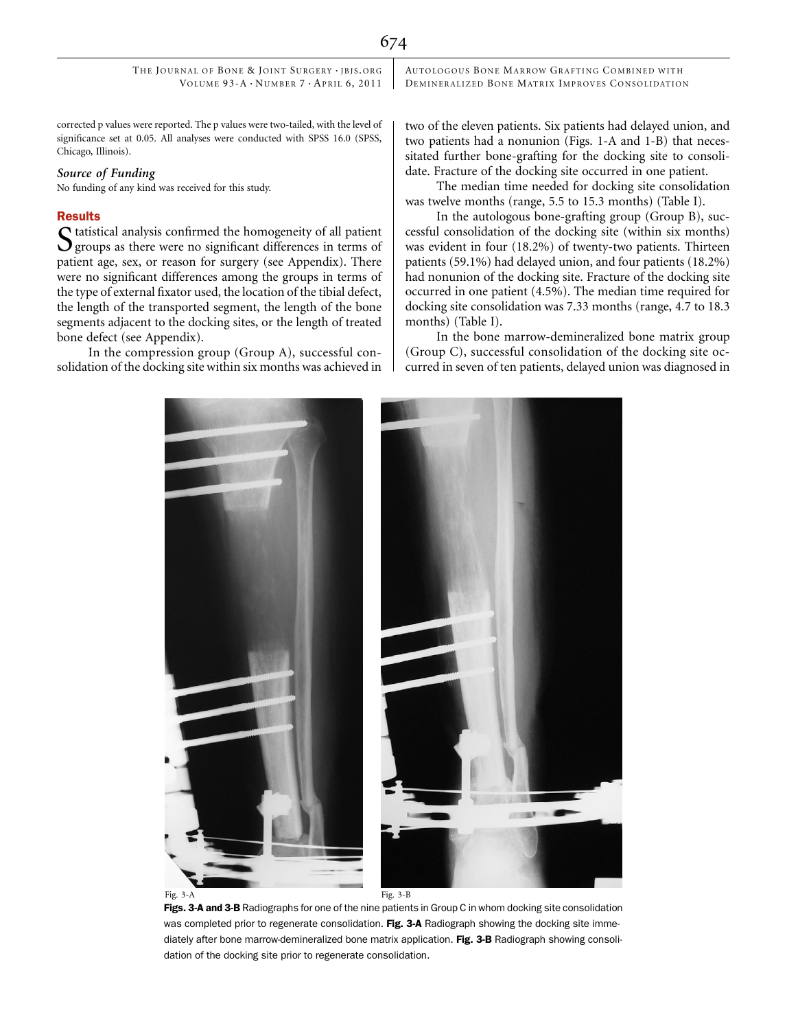AUTOLOGOUS BONE MARROW GRAFTING COMBINED WITH DEMINERALIZED BONE MATRIX IMPROVES CONSOLIDATION

corrected p values were reported. The p values were two-tailed, with the level of significance set at 0.05. All analyses were conducted with SPSS 16.0 (SPSS, Chicago, Illinois).

# Source of Funding

No funding of any kind was received for this study.

## Results

 $\boldsymbol{\mathsf{C}}$  tatistical analysis confirmed the homogeneity of all patient  $\mathbf{\mathcal{Q}}$  groups as there were no significant differences in terms of patient age, sex, or reason for surgery (see Appendix). There were no significant differences among the groups in terms of the type of external fixator used, the location of the tibial defect, the length of the transported segment, the length of the bone segments adjacent to the docking sites, or the length of treated bone defect (see Appendix).

In the compression group (Group A), successful consolidation of the docking site within six months was achieved in two of the eleven patients. Six patients had delayed union, and two patients had a nonunion (Figs. 1-A and 1-B) that necessitated further bone-grafting for the docking site to consolidate. Fracture of the docking site occurred in one patient.

The median time needed for docking site consolidation was twelve months (range, 5.5 to 15.3 months) (Table I).

In the autologous bone-grafting group (Group B), successful consolidation of the docking site (within six months) was evident in four (18.2%) of twenty-two patients. Thirteen patients (59.1%) had delayed union, and four patients (18.2%) had nonunion of the docking site. Fracture of the docking site occurred in one patient (4.5%). The median time required for docking site consolidation was 7.33 months (range, 4.7 to 18.3 months) (Table I).

In the bone marrow-demineralized bone matrix group (Group C), successful consolidation of the docking site occurred in seven of ten patients, delayed union was diagnosed in



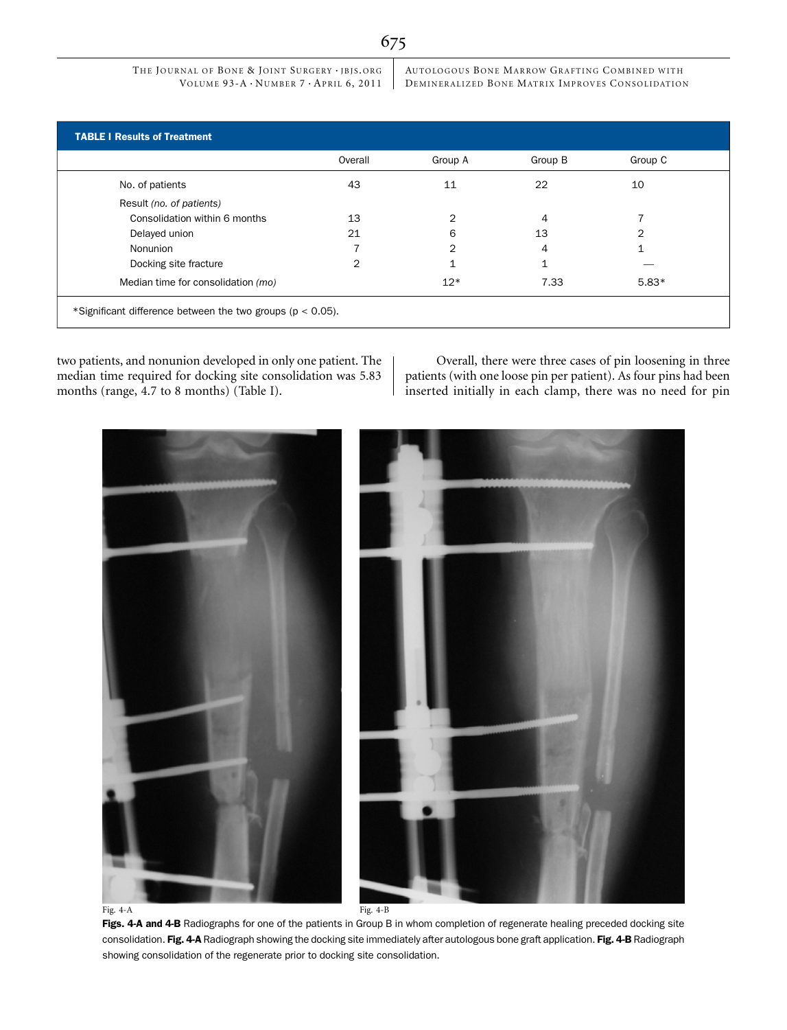AUTOLOGOUS BONE MARROW GRAFTING COMBINED WITH DEMINERALIZED BONE MATRIX IMPROVES CONSOLIDATION

|                                    | Overall        | Group A       | Group B | Group C |
|------------------------------------|----------------|---------------|---------|---------|
| No. of patients                    | 43             | 11            | 22      | 10      |
| Result (no. of patients)           |                |               |         |         |
| Consolidation within 6 months      | 13             | 2             | 4       |         |
| Delayed union                      | 21             | 6             | 13      | 2       |
| Nonunion                           |                | $\mathcal{P}$ | 4       |         |
| Docking site fracture              | $\overline{2}$ |               | 1       |         |
| Median time for consolidation (mo) |                | $12*$         | 7.33    | $5.83*$ |

two patients, and nonunion developed in only one patient. The median time required for docking site consolidation was 5.83 months (range, 4.7 to 8 months) (Table I).

Overall, there were three cases of pin loosening in three patients (with one loose pin per patient). As four pins had been inserted initially in each clamp, there was no need for pin



Figs. 4-A and 4-B Radiographs for one of the patients in Group B in whom completion of regenerate healing preceded docking site consolidation. Fig. 4-A Radiograph showing the docking site immediately after autologous bone graft application. Fig. 4-B Radiograph showing consolidation of the regenerate prior to docking site consolidation.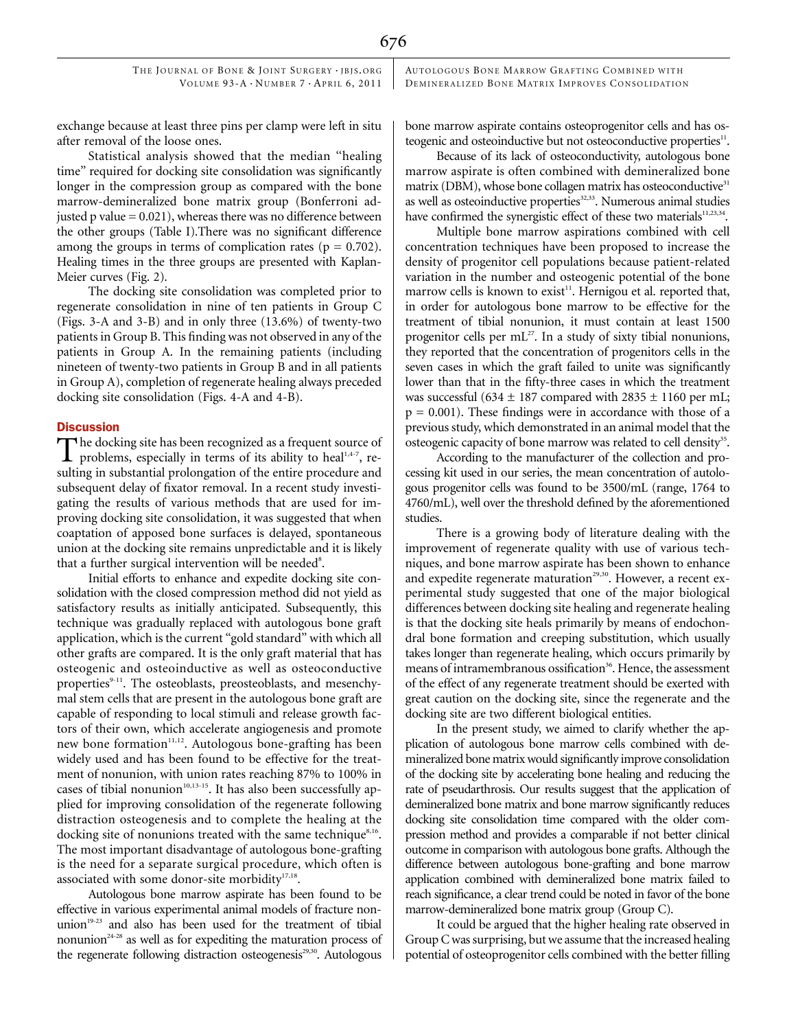AUTOLOGOUS BONE MARROW GRAFTING COMBINED WITH DEMINERALIZED BONE MATRIX IMPROVES CONSOLIDATION

exchange because at least three pins per clamp were left in situ after removal of the loose ones.

Statistical analysis showed that the median ''healing time'' required for docking site consolidation was significantly longer in the compression group as compared with the bone marrow-demineralized bone matrix group (Bonferroni adjusted  $p$  value = 0.021), whereas there was no difference between the other groups (Table I).There was no significant difference among the groups in terms of complication rates ( $p = 0.702$ ). Healing times in the three groups are presented with Kaplan-Meier curves (Fig. 2).

The docking site consolidation was completed prior to regenerate consolidation in nine of ten patients in Group C (Figs. 3-A and 3-B) and in only three (13.6%) of twenty-two patients in Group B. This finding was not observed in any of the patients in Group A. In the remaining patients (including nineteen of twenty-two patients in Group B and in all patients in Group A), completion of regenerate healing always preceded docking site consolidation (Figs. 4-A and 4-B).

## **Discussion**

The docking site has been recognized as a frequent source of problems, especially in terms of its ability to heal<sup>1,4-7</sup>, resulting in substantial prolongation of the entire procedure and subsequent delay of fixator removal. In a recent study investigating the results of various methods that are used for improving docking site consolidation, it was suggested that when coaptation of apposed bone surfaces is delayed, spontaneous union at the docking site remains unpredictable and it is likely that a further surgical intervention will be needed<sup>8</sup>.

Initial efforts to enhance and expedite docking site consolidation with the closed compression method did not yield as satisfactory results as initially anticipated. Subsequently, this technique was gradually replaced with autologous bone graft application, which is the current ''gold standard'' with which all other grafts are compared. It is the only graft material that has osteogenic and osteoinductive as well as osteoconductive properties<sup>9-11</sup>. The osteoblasts, preosteoblasts, and mesenchymal stem cells that are present in the autologous bone graft are capable of responding to local stimuli and release growth factors of their own, which accelerate angiogenesis and promote new bone formation<sup>11,12</sup>. Autologous bone-grafting has been widely used and has been found to be effective for the treatment of nonunion, with union rates reaching 87% to 100% in cases of tibial nonunion<sup>10,13-15</sup>. It has also been successfully applied for improving consolidation of the regenerate following distraction osteogenesis and to complete the healing at the docking site of nonunions treated with the same technique<sup>8,16</sup>. The most important disadvantage of autologous bone-grafting is the need for a separate surgical procedure, which often is associated with some donor-site morbidity<sup>17,18</sup>.

Autologous bone marrow aspirate has been found to be effective in various experimental animal models of fracture nonunion<sup>19-23</sup> and also has been used for the treatment of tibial nonunion $24-28$  as well as for expediting the maturation process of the regenerate following distraction osteogenesis<sup>29,30</sup>. Autologous

bone marrow aspirate contains osteoprogenitor cells and has osteogenic and osteoinductive but not osteoconductive properties<sup>11</sup>.

Because of its lack of osteoconductivity, autologous bone marrow aspirate is often combined with demineralized bone matrix (DBM), whose bone collagen matrix has osteoconductive<sup>31</sup> as well as osteoinductive properties<sup>32,33</sup>. Numerous animal studies have confirmed the synergistic effect of these two materials $11,23,34$ .

Multiple bone marrow aspirations combined with cell concentration techniques have been proposed to increase the density of progenitor cell populations because patient-related variation in the number and osteogenic potential of the bone marrow cells is known to exist<sup>11</sup>. Hernigou et al. reported that, in order for autologous bone marrow to be effective for the treatment of tibial nonunion, it must contain at least 1500 progenitor cells per  $mL^{27}$ . In a study of sixty tibial nonunions, they reported that the concentration of progenitors cells in the seven cases in which the graft failed to unite was significantly lower than that in the fifty-three cases in which the treatment was successful (634  $\pm$  187 compared with 2835  $\pm$  1160 per mL;  $p = 0.001$ ). These findings were in accordance with those of a previous study, which demonstrated in an animal model that the osteogenic capacity of bone marrow was related to cell density<sup>35</sup>.

According to the manufacturer of the collection and processing kit used in our series, the mean concentration of autologous progenitor cells was found to be 3500/mL (range, 1764 to 4760/mL), well over the threshold defined by the aforementioned studies.

There is a growing body of literature dealing with the improvement of regenerate quality with use of various techniques, and bone marrow aspirate has been shown to enhance and expedite regenerate maturation<sup>29,30</sup>. However, a recent experimental study suggested that one of the major biological differences between docking site healing and regenerate healing is that the docking site heals primarily by means of endochondral bone formation and creeping substitution, which usually takes longer than regenerate healing, which occurs primarily by means of intramembranous ossification<sup>36</sup>. Hence, the assessment of the effect of any regenerate treatment should be exerted with great caution on the docking site, since the regenerate and the docking site are two different biological entities.

In the present study, we aimed to clarify whether the application of autologous bone marrow cells combined with demineralized bone matrix would significantly improve consolidation of the docking site by accelerating bone healing and reducing the rate of pseudarthrosis. Our results suggest that the application of demineralized bone matrix and bone marrow significantly reduces docking site consolidation time compared with the older compression method and provides a comparable if not better clinical outcome in comparison with autologous bone grafts. Although the difference between autologous bone-grafting and bone marrow application combined with demineralized bone matrix failed to reach significance, a clear trend could be noted in favor of the bone marrow-demineralized bone matrix group (Group C).

It could be argued that the higher healing rate observed in Group C was surprising, but we assume that the increased healing potential of osteoprogenitor cells combined with the better filling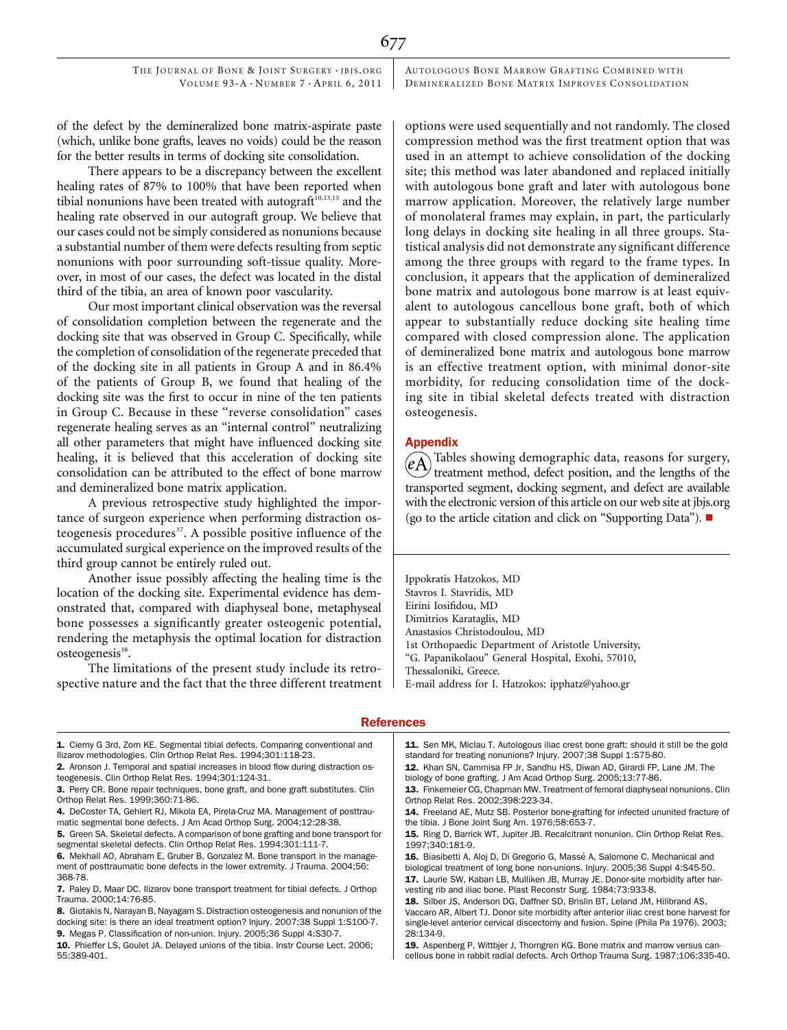AUTOLOGOUS BONE MARROW GRAFTING COMBINED WITH DEMINERALIZED BONE MATRIX IMPROVES CONSOLIDATION

of the defect by the demineralized bone matrix-aspirate paste (which, unlike bone grafts, leaves no voids) could be the reason for the better results in terms of docking site consolidation.

There appears to be a discrepancy between the excellent healing rates of 87% to 100% that have been reported when tibial nonunions have been treated with autograft<sup>10,13,15</sup> and the healing rate observed in our autograft group. We believe that our cases could not be simply considered as nonunions because a substantial number of them were defects resulting from septic nonunions with poor surrounding soft-tissue quality. Moreover, in most of our cases, the defect was located in the distal third of the tibia, an area of known poor vascularity.

Our most important clinical observation was the reversal of consolidation completion between the regenerate and the docking site that was observed in Group C. Specifically, while the completion of consolidation of the regenerate preceded that of the docking site in all patients in Group A and in 86.4% of the patients of Group B, we found that healing of the docking site was the first to occur in nine of the ten patients in Group C. Because in these ''reverse consolidation'' cases regenerate healing serves as an ''internal control'' neutralizing all other parameters that might have influenced docking site healing, it is believed that this acceleration of docking site consolidation can be attributed to the effect of bone marrow and demineralized bone matrix application.

A previous retrospective study highlighted the importance of surgeon experience when performing distraction osteogenesis procedures<sup>37</sup>. A possible positive influence of the accumulated surgical experience on the improved results of the third group cannot be entirely ruled out.

Another issue possibly affecting the healing time is the location of the docking site. Experimental evidence has demonstrated that, compared with diaphyseal bone, metaphyseal bone possesses a significantly greater osteogenic potential, rendering the metaphysis the optimal location for distraction osteogenesis<sup>38</sup>.

The limitations of the present study include its retrospective nature and the fact that the three different treatment options were used sequentially and not randomly. The closed compression method was the first treatment option that was used in an attempt to achieve consolidation of the docking site; this method was later abandoned and replaced initially with autologous bone graft and later with autologous bone marrow application. Moreover, the relatively large number of monolateral frames may explain, in part, the particularly long delays in docking site healing in all three groups. Statistical analysis did not demonstrate any significant difference among the three groups with regard to the frame types. In conclusion, it appears that the application of demineralized bone matrix and autologous bone marrow is at least equivalent to autologous cancellous bone graft, both of which appear to substantially reduce docking site healing time compared with closed compression alone. The application of demineralized bone matrix and autologous bone marrow is an effective treatment option, with minimal donor-site morbidity, for reducing consolidation time of the docking site in tibial skeletal defects treated with distraction osteogenesis.

## Appendix

677

Tables showing demographic data, reasons for surgery, treatment method, defect position, and the lengths of the transported segment, docking segment, and defect are available with the electronic version of this article on our web site at jbjs.org (go to the article citation and click on "Supporting Data").  $\blacksquare$ 

Ippokratis Hatzokos, MD Stavros I. Stavridis, MD Eirini Iosifidou, MD Dimitrios Karataglis, MD Anastasios Christodoulou, MD 1st Orthopaedic Department of Aristotle University, ''G. Papanikolaou'' General Hospital, Exohi, 57010, Thessaloniki, Greece. E-mail address for I. Hatzokos: ipphatz@yahoo.gr

### References

1. Cierny G 3rd, Zorn KE. Segmental tibial defects. Comparing conventional and Ilizarov methodologies. Clin Orthop Relat Res. 1994;301:118-23.

2. Aronson J. Temporal and spatial increases in blood flow during distraction osteogenesis. Clin Orthop Relat Res. 1994;301:124-31.

4. DeCoster TA, Gehlert RJ, Mikola EA, Pirela-Cruz MA. Management of posttraumatic segmental bone defects. J Am Acad Orthop Surg. 2004;12:28-38.

5. Green SA. Skeletal defects. A comparison of bone grafting and bone transport for segmental skeletal defects. Clin Orthop Relat Res. 1994;301:111-7.

6. Mekhail AO, Abraham E, Gruber B, Gonzalez M. Bone transport in the management of posttraumatic bone defects in the lower extremity. J Trauma. 2004;56: 368-78.

- 7. Paley D, Maar DC. Ilizarov bone transport treatment for tibial defects. J Orthop Trauma. 2000;14:76-85.
- 8. Giotakis N, Narayan B, Nayagam S. Distraction osteogenesis and nonunion of the docking site: is there an ideal treatment option? Injury. 2007;38 Suppl 1:S100-7.
- 9. Megas P. Classification of non-union. Injury. 2005;36 Suppl 4:S30-7.

11. Sen MK, Miclau T. Autologous iliac crest bone graft: should it still be the gold standard for treating nonunions? Injury. 2007;38 Suppl 1:S75-80.

12. Khan SN, Cammisa FP Jr, Sandhu HS, Diwan AD, Girardi FP, Lane JM. The biology of bone grafting. J Am Acad Orthop Surg. 2005;13:77-86.

cellous bone in rabbit radial defects. Arch Orthop Trauma Surg. 1987;106:335-40.

<sup>3.</sup> Perry CR. Bone repair techniques, bone graft, and bone graft substitutes. Clin Orthop Relat Res. 1999;360:71-86.

<sup>10.</sup> Phieffer LS, Goulet JA. Delayed unions of the tibia. Instr Course Lect. 2006; 55:389-401.

<sup>13.</sup> Finkemeier CG, Chapman MW. Treatment of femoral diaphyseal nonunions. Clin Orthop Relat Res. 2002;398:223-34.

<sup>14.</sup> Freeland AE, Mutz SB. Posterior bone-grafting for infected ununited fracture of the tibia. J Bone Joint Surg Am. 1976;58:653-7.

<sup>15.</sup> Ring D, Barrick WT, Jupiter JB. Recalcitrant nonunion. Clin Orthop Relat Res. 1997;340:181-9.

<sup>16.</sup> Biasibetti A, Aloj D, Di Gregorio G, Massè A, Salomone C. Mechanical and biological treatment of long bone non-unions. Injury. 2005;36 Suppl 4:S45-50. 17. Laurie SW, Kaban LB, Mulliken JB, Murray JE. Donor-site morbidity after har-

vesting rib and iliac bone. Plast Reconstr Surg. 1984;73:933-8. 18. Silber JS, Anderson DG, Daffner SD, Brislin BT, Leland JM, Hilibrand AS, Vaccaro AR, Albert TJ. Donor site morbidity after anterior iliac crest bone harvest for

single-level anterior cervical discectomy and fusion. Spine (Phila Pa 1976). 2003; 28:134-9. 19. Aspenberg P, Wittbier J, Thorngren KG, Bone matrix and marrow versus can-